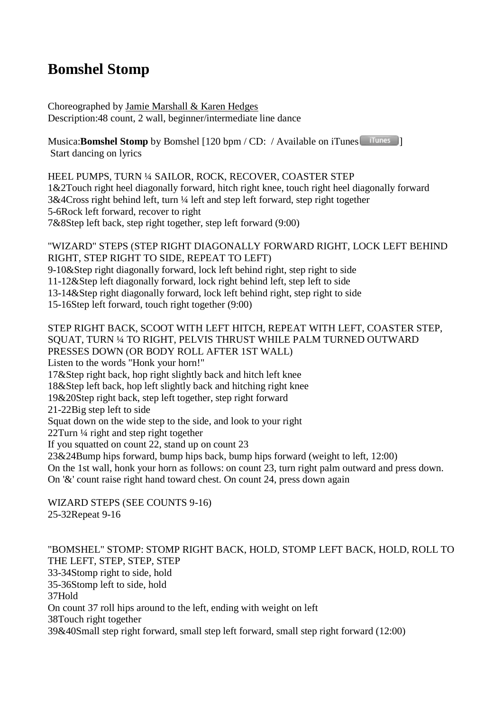## **Bomshel Stomp**

Choreographed by Jamie Marshall & Karen Hedges Description:48 count, 2 wall, beginner/intermediate line dance

Musica:**Bomshel Stomp** by Bomshel [120 bpm / CD: / Available on iTunes **ITunes** ] Start dancing on lyrics

HEEL PUMPS, TURN ¼ SAILOR, ROCK, RECOVER, COASTER STEP 1&2Touch right heel diagonally forward, hitch right knee, touch right heel diagonally forward 3&4Cross right behind left, turn ¼ left and step left forward, step right together 5-6Rock left forward, recover to right 7&8Step left back, step right together, step left forward (9:00)

"WIZARD" STEPS (STEP RIGHT DIAGONALLY FORWARD RIGHT, LOCK LEFT BEHIND RIGHT, STEP RIGHT TO SIDE, REPEAT TO LEFT) 9-10&Step right diagonally forward, lock left behind right, step right to side 11-12&Step left diagonally forward, lock right behind left, step left to side 13-14&Step right diagonally forward, lock left behind right, step right to side 15-16Step left forward, touch right together (9:00)

## STEP RIGHT BACK, SCOOT WITH LEFT HITCH, REPEAT WITH LEFT, COASTER STEP, SQUAT, TURN ¼ TO RIGHT, PELVIS THRUST WHILE PALM TURNED OUTWARD PRESSES DOWN (OR BODY ROLL AFTER 1ST WALL)

Listen to the words "Honk your horn!"

17&Step right back, hop right slightly back and hitch left knee

18&Step left back, hop left slightly back and hitching right knee

19&20Step right back, step left together, step right forward

21-22Big step left to side

Squat down on the wide step to the side, and look to your right

22Turn ¼ right and step right together

If you squatted on count 22, stand up on count 23

23&24Bump hips forward, bump hips back, bump hips forward (weight to left, 12:00)

On the 1st wall, honk your horn as follows: on count 23, turn right palm outward and press down.

On '&' count raise right hand toward chest. On count 24, press down again

WIZARD STEPS (SEE COUNTS 9-16) 25-32Repeat 9-16

"BOMSHEL" STOMP: STOMP RIGHT BACK, HOLD, STOMP LEFT BACK, HOLD, ROLL TO THE LEFT, STEP, STEP, STEP 33-34Stomp right to side, hold 35-36Stomp left to side, hold 37Hold On count 37 roll hips around to the left, ending with weight on left 38Touch right together 39&40Small step right forward, small step left forward, small step right forward (12:00)